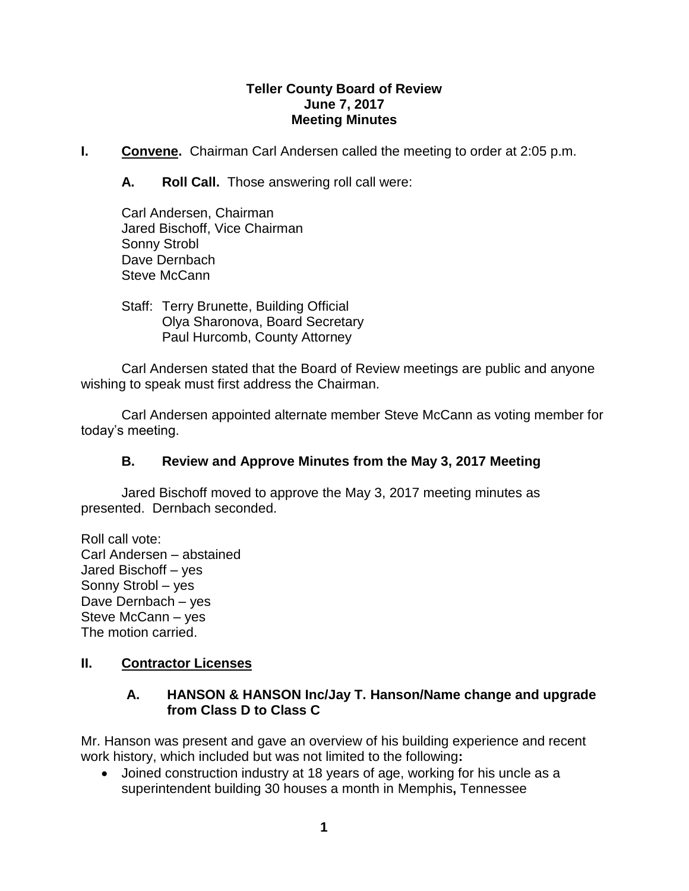### **Teller County Board of Review June 7, 2017 Meeting Minutes**

**I. Convene.** Chairman Carl Andersen called the meeting to order at 2:05 p.m.

**A. Roll Call.** Those answering roll call were:

Carl Andersen, Chairman Jared Bischoff, Vice Chairman Sonny Strobl Dave Dernbach Steve McCann

Staff: Terry Brunette, Building Official Olya Sharonova, Board Secretary Paul Hurcomb, County Attorney

Carl Andersen stated that the Board of Review meetings are public and anyone wishing to speak must first address the Chairman.

Carl Andersen appointed alternate member Steve McCann as voting member for today's meeting.

# **B. Review and Approve Minutes from the May 3, 2017 Meeting**

Jared Bischoff moved to approve the May 3, 2017 meeting minutes as presented. Dernbach seconded.

Roll call vote: Carl Andersen – abstained Jared Bischoff – yes Sonny Strobl – yes Dave Dernbach – yes Steve McCann – yes The motion carried.

# **II. Contractor Licenses**

# **A. HANSON & HANSON Inc/Jay T. Hanson/Name change and upgrade from Class D to Class C**

Mr. Hanson was present and gave an overview of his building experience and recent work history, which included but was not limited to the following**:**

 Joined construction industry at 18 years of age, working for his uncle as a superintendent building 30 houses a month in Memphis**,** Tennessee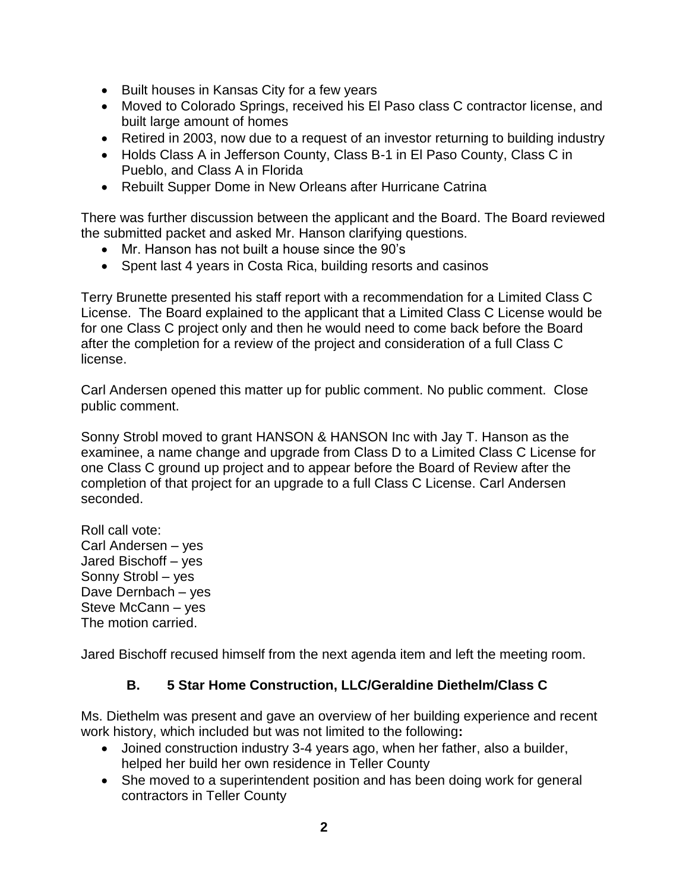- Built houses in Kansas City for a few years
- Moved to Colorado Springs, received his El Paso class C contractor license, and built large amount of homes
- Retired in 2003, now due to a request of an investor returning to building industry
- Holds Class A in Jefferson County, Class B-1 in El Paso County, Class C in Pueblo, and Class A in Florida
- Rebuilt Supper Dome in New Orleans after Hurricane Catrina

There was further discussion between the applicant and the Board. The Board reviewed the submitted packet and asked Mr. Hanson clarifying questions.

- Mr. Hanson has not built a house since the 90's
- Spent last 4 years in Costa Rica, building resorts and casinos

Terry Brunette presented his staff report with a recommendation for a Limited Class C License. The Board explained to the applicant that a Limited Class C License would be for one Class C project only and then he would need to come back before the Board after the completion for a review of the project and consideration of a full Class C license.

Carl Andersen opened this matter up for public comment. No public comment. Close public comment.

Sonny Strobl moved to grant HANSON & HANSON Inc with Jay T. Hanson as the examinee, a name change and upgrade from Class D to a Limited Class C License for one Class C ground up project and to appear before the Board of Review after the completion of that project for an upgrade to a full Class C License. Carl Andersen seconded.

Roll call vote: Carl Andersen – yes Jared Bischoff – yes Sonny Strobl – yes Dave Dernbach – yes Steve McCann – yes The motion carried.

Jared Bischoff recused himself from the next agenda item and left the meeting room.

# **B. 5 Star Home Construction, LLC/Geraldine Diethelm/Class C**

Ms. Diethelm was present and gave an overview of her building experience and recent work history, which included but was not limited to the following**:**

- Joined construction industry 3-4 years ago, when her father, also a builder, helped her build her own residence in Teller County
- She moved to a superintendent position and has been doing work for general contractors in Teller County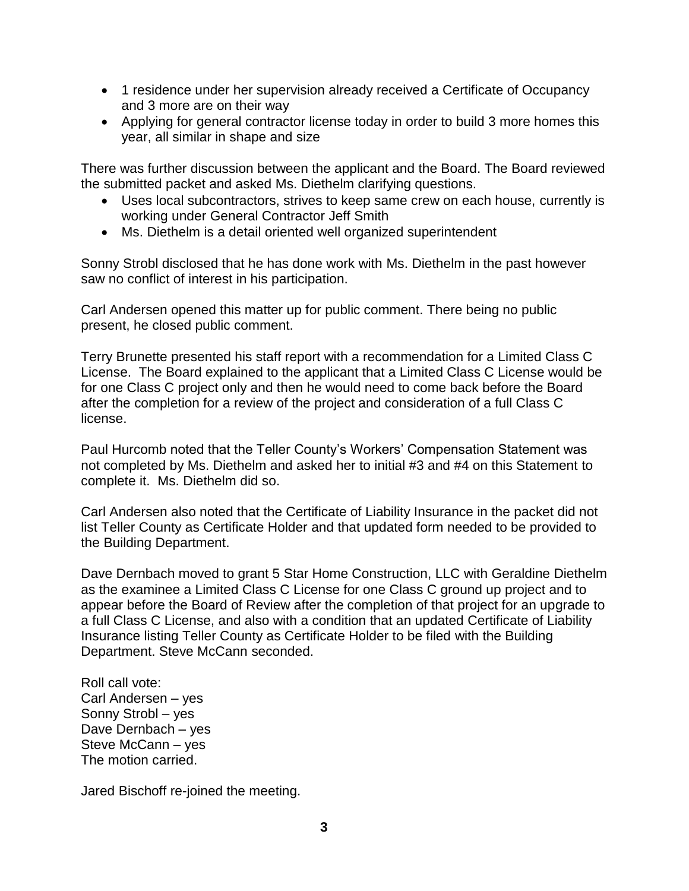- 1 residence under her supervision already received a Certificate of Occupancy and 3 more are on their way
- Applying for general contractor license today in order to build 3 more homes this year, all similar in shape and size

There was further discussion between the applicant and the Board. The Board reviewed the submitted packet and asked Ms. Diethelm clarifying questions.

- Uses local subcontractors, strives to keep same crew on each house, currently is working under General Contractor Jeff Smith
- Ms. Diethelm is a detail oriented well organized superintendent

Sonny Strobl disclosed that he has done work with Ms. Diethelm in the past however saw no conflict of interest in his participation.

Carl Andersen opened this matter up for public comment. There being no public present, he closed public comment.

Terry Brunette presented his staff report with a recommendation for a Limited Class C License. The Board explained to the applicant that a Limited Class C License would be for one Class C project only and then he would need to come back before the Board after the completion for a review of the project and consideration of a full Class C license.

Paul Hurcomb noted that the Teller County's Workers' Compensation Statement was not completed by Ms. Diethelm and asked her to initial #3 and #4 on this Statement to complete it. Ms. Diethelm did so.

Carl Andersen also noted that the Certificate of Liability Insurance in the packet did not list Teller County as Certificate Holder and that updated form needed to be provided to the Building Department.

Dave Dernbach moved to grant 5 Star Home Construction, LLC with Geraldine Diethelm as the examinee a Limited Class C License for one Class C ground up project and to appear before the Board of Review after the completion of that project for an upgrade to a full Class C License, and also with a condition that an updated Certificate of Liability Insurance listing Teller County as Certificate Holder to be filed with the Building Department. Steve McCann seconded.

Roll call vote: Carl Andersen – yes Sonny Strobl – yes Dave Dernbach – yes Steve McCann – yes The motion carried.

Jared Bischoff re-joined the meeting.